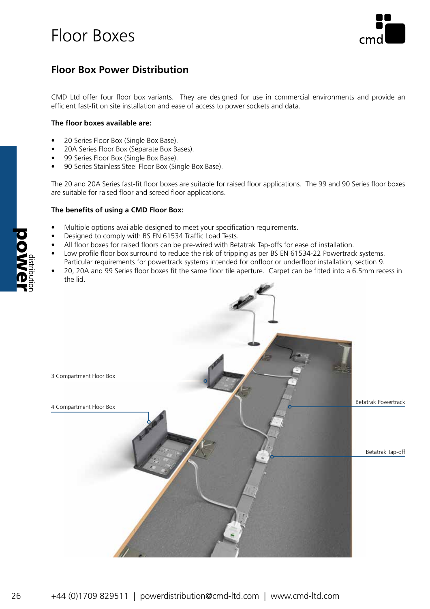

### **Floor Box Power Distribution**

CMD Ltd offer four floor box variants. They are designed for use in commercial environments and provide an efficient fast-fit on site installation and ease of access to power sockets and data.

### **The floor boxes available are:**

- 20 Series Floor Box (Single Box Base).
- 20A Series Floor Box (Separate Box Bases).
- 99 Series Floor Box (Single Box Base).
- 90 Series Stainless Steel Floor Box (Single Box Base).

The 20 and 20A Series fast-fit floor boxes are suitable for raised floor applications. The 99 and 90 Series floor boxes are suitable for raised floor and screed floor applications.

#### **The benefits of using a CMD Floor Box:**

- Multiple options available designed to meet your specification requirements.
- Designed to comply with BS EN 61534 Traffic Load Tests.
- All floor boxes for raised floors can be pre-wired with Betatrak Tap-offs for ease of installation.
- Low profile floor box surround to reduce the risk of tripping as per BS EN 61534-22 Powertrack systems. Particular requirements for powertrack systems intended for onfloor or underfloor installation, section 9.
- 20, 20A and 99 Series floor boxes fit the same floor tile aperture. Carpet can be fitted into a 6.5mm recess in the lid.



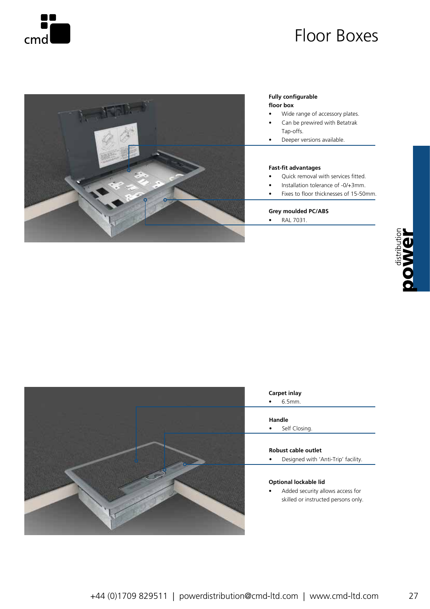



#### **Fully configurable floor box**

- Wide range of accessory plates.
- Can be prewired with Betatrak Tap-offs.
- Deeper versions available.

#### **Fast-fit advantages**

- Quick removal with services fitted.
	- Installation tolerance of -0/+3mm.
- Fixes to floor thicknesses of 15-50mm.

#### **Grey moulded PC/ABS**

• RAL 7031.





### **Carpet inlay**

• 6.5mm.

#### **Handle**

• Self Closing.

#### **Robust cable outlet**

• Designed with 'Anti-Trip' facility.

### **Optional lockable lid**

• Added security allows access for skilled or instructed persons only.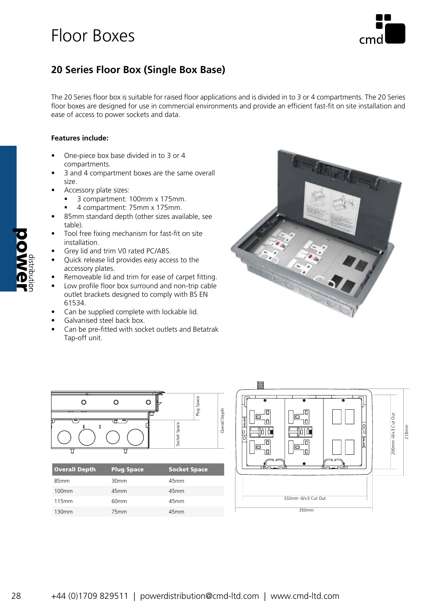

## **20 Series Floor Box (Single Box Base)**

The 20 Series floor box is suitable for raised floor applications and is divided in to 3 or 4 compartments. The 20 Series floor boxes are designed for use in commercial environments and provide an efficient fast-fit on site installation and ease of access to power sockets and data.

### **Features include:**

- One-piece box base divided in to 3 or 4 compartments.
- 3 and 4 compartment boxes are the same overall size.
- Accessory plate sizes:
	- 3 compartment: 100mm x 175mm.
	- 4 compartment: 75mm x 175mm.
- 85mm standard depth (other sizes available, see table).
- Tool free fixing mechanism for fast-fit on site installation.
- Grey lid and trim V0 rated PC/ABS.
- Quick release lid provides easy access to the accessory plates.
- Removeable lid and trim for ease of carpet fitting.
- Low profile floor box surround and non-trip cable outlet brackets designed to comply with BS EN 61534.
- Can be supplied complete with lockable lid.
- Galvanised steel back box.
- Can be pre-fitted with socket outlets and Betatrak Tap-off unit.







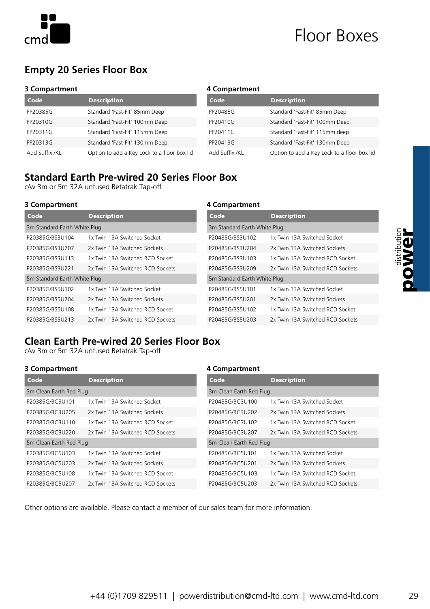

### **Empty 20 Series Floor Box**

#### **3 Compartment**

| Code           | <b>Description</b>                          |
|----------------|---------------------------------------------|
| PP20385G       | Standard 'Fast-Fit' 85mm Deep               |
| PP20310G       | Standard 'Fast-Fit' 100mm Deep              |
| PP20311G       | Standard 'Fast-Fit' 115mm Deep              |
| PP20313G       | Standard 'Fast-Fit' 130mm Deep              |
| Add Suffix /KL | Option to add a Key Lock to a floor box lid |

#### **4 Compartment**

| Code           | <b>Description</b>                          |
|----------------|---------------------------------------------|
| PP20485G       | Standard 'Fast-Fit' 85mm Deep               |
| PP20410G       | Standard 'Fast-Fit' 100mm Deep              |
| PP20411G       | Standard 'Fast-Fit' 115mm deep              |
| PP20413G       | Standard 'Fast-Fit' 130mm Deep              |
| Add Suffix /KL | Option to add a Key Lock to a floor box lid |

### **Standard Earth Pre-wired 20 Series Floor Box**

c/w 3m or 5m 32A unfused Betatrak Tap-off

#### **3 Compartment 4 Compartment**

| Code                         | <b>Description</b>               |
|------------------------------|----------------------------------|
| 3m Standard Earth White Plug |                                  |
| P20385G/BS3U104              | 1x Twin 13A Switched Socket      |
| P20385G/BS3U207              | 2x Twin 13A Switched Sockets     |
| P20385G/BS3U113              | 1x Twin 13A Switched RCD Socket  |
| P20385G/BS3U221              | 2x Twin 13A Switched RCD Sockets |
| 5m Standard Earth White Plug |                                  |
| P20385G/BS5U102              | 1x Twin 13A Switched Socket      |
| P20385G/BS5U204              | 2x Twin 13A Switched Sockets     |
| P20385G/BS5U108              | 1x Twin 13A Switched RCD Socket  |
| P20385G/BS5U213              | 2x Twin 13A Switched RCD Sockets |

| Code                         | <b>Description</b>               |  |
|------------------------------|----------------------------------|--|
| 3m Standard Earth White Plug |                                  |  |
| P20485G/BS3U102              | 1x Twin 13A Switched Socket      |  |
| P20485G/BS3U204              | 2x Twin 13A Switched Sockets     |  |
| P20485G/BS3U103              | 1x Twin 13A Switched RCD Socket  |  |
| P20485G/BS3U209              | 2x Twin 13A Switched RCD Sockets |  |
| 5m Standard Earth White Plug |                                  |  |
| P20485G/BS5U101              | 1x Twin 13A Switched Socket      |  |
| P20485G/BS5U201              | 2x Twin 13A Switched Sockets     |  |
| P20485G/BS5U102              | 1x Twin 13A Switched RCD Socket  |  |
| P20485G/BS5U203              | 2x Twin 13A Switched RCD Sockets |  |

### **Clean Earth Pre-wired 20 Series Floor Box**

c/w 3m or 5m 32A unfused Betatrak Tap-off

### **3 Compartment 4 Compartment**

| Code                    | <b>Description</b>               |  |
|-------------------------|----------------------------------|--|
| 3m Clean Earth Red Plug |                                  |  |
| P20385G/BC3U101         | 1x Twin 13A Switched Socket      |  |
| P20385G/BC3U205         | 2x Twin 13A Switched Sockets     |  |
| P20385G/BC3U110         | 1x Twin 13A Switched RCD Socket  |  |
| P20385G/BC3U220         | 2x Twin 13A Switched RCD Sockets |  |
| 5m Clean Earth Red Plug |                                  |  |
| P20385G/BC5U103         | 1x Twin 13A Switched Socket      |  |
| P20385G/BC5U203         | 2x Twin 13A Switched Sockets     |  |
| P20385G/BC5U108         | 1x Twin 13A Switched RCD Socket  |  |
| P20385G/BC5U207         | 2x Twin 13A Switched RCD Sockets |  |

| Code                    | <b>Description</b>               |
|-------------------------|----------------------------------|
| 3m Clean Earth Red Plug |                                  |
| P20485G/BC3U100         | 1x Twin 13A Switched Socket      |
| P20485G/BC3U202         | 2x Twin 13A Switched Sockets     |
| P20485G/BC3U102         | 1x Twin 13A Switched RCD Socket  |
| P20485G/BC3U207         | 2x Twin 13A Switched RCD Sockets |
| 5m Clean Earth Red Plug |                                  |
| P20485G/BC5U101         | 1x Twin 13A Switched Socket      |
| P20485G/BC5U201         | 2x Twin 13A Switched Sockets     |
| P20485G/BC5U103         | 1x Twin 13A Switched RCD Socket  |
| P20485G/BC5U203         | 2x Twin 13A Switched RCD Sockets |

Other options are available. Please contact a member of our sales team for more information.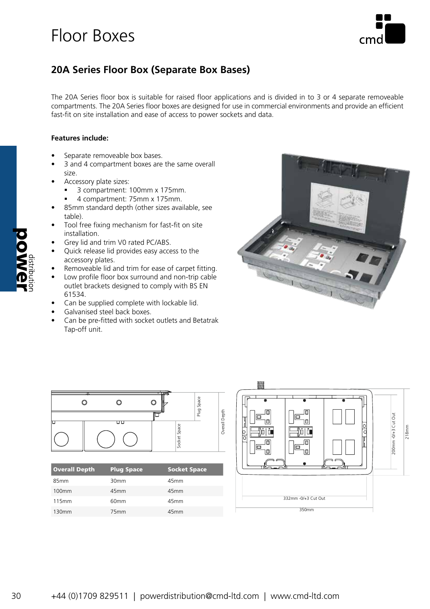

### **20A Series Floor Box (Separate Box Bases)**

The 20A Series floor box is suitable for raised floor applications and is divided in to 3 or 4 separate removeable compartments. The 20A Series floor boxes are designed for use in commercial environments and provide an efficient fast-fit on site installation and ease of access to power sockets and data.

### **Features include:**

- Separate removeable box bases.
- 3 and 4 compartment boxes are the same overall size.
- Accessory plate sizes:
	- 3 compartment: 100mm x 175mm.
	- 4 compartment: 75mm x 175mm.
- 85mm standard depth (other sizes available, see table).
- Tool free fixing mechanism for fast-fit on site installation.
- Grey lid and trim V0 rated PC/ABS.
- Quick release lid provides easy access to the accessory plates.
- Removeable lid and trim for ease of carpet fitting.
- Low profile floor box surround and non-trip cable outlet brackets designed to comply with BS EN 61534.
- Can be supplied complete with lockable lid.
- Galvanised steel back boxes.
- Can be pre-fitted with socket outlets and Betatrak Tap-off unit.





130mm 75mm 45mm



30 +44 (0)1709 829511 | powerdistribution@cmd-ltd.com | www.cmd-ltd.com +44 (0)1709 829511 | powerdistribution@cmd-ltd.com | www.cmd-ltd.com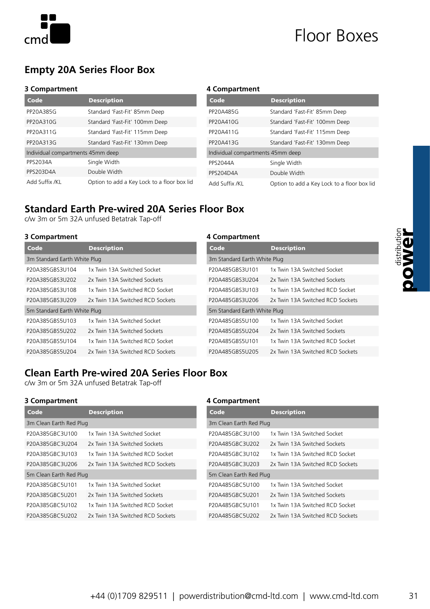

## **Empty 20A Series Floor Box**

#### **3 Compartment**

| Code                              | <b>Description</b>                          |
|-----------------------------------|---------------------------------------------|
| PP20A385G                         | Standard 'Fast-Fit' 85mm Deep               |
| PP20A310G                         | Standard 'Fast-Fit' 100mm Deep              |
| PP20A311G                         | Standard 'Fast-Fit' 115mm Deep              |
| PP20A313G                         | Standard 'Fast-Fit' 130mm Deep              |
| Individual compartments 45mm deep |                                             |
| <b>PPS2034A</b>                   | Single Width                                |
| PPS203D4A                         | Double Width                                |
| Add Suffix /KL                    | Option to add a Key Lock to a floor box lid |

#### **4 Compartment**

| Code                              | <b>Description</b>                          |  |
|-----------------------------------|---------------------------------------------|--|
| PP20A485G                         | Standard 'Fast-Fit' 85mm Deep               |  |
| PP20A410G                         | Standard 'Fast-Fit' 100mm Deep              |  |
| PP20A411G                         | Standard 'Fast-Fit' 115mm Deep              |  |
| PP20A413G                         | Standard 'Fast-Fit' 130mm Deep              |  |
| Individual compartments 45mm deep |                                             |  |
| <b>PPS2044A</b>                   | Single Width                                |  |
| PPS204D4A                         | Double Width                                |  |
| Add Suffix /KL                    | Option to add a Key Lock to a floor box lid |  |

### **Standard Earth Pre-wired 20A Series Floor Box**

c/w 3m or 5m 32A unfused Betatrak Tap-off

### **3 Compartment 4 Compartment**

| Code                         | <b>Description</b>               |
|------------------------------|----------------------------------|
| 3m Standard Earth White Plug |                                  |
| P20A385GBS3U104              | 1x Twin 13A Switched Socket      |
| P20A385GBS3U202              | 2x Twin 13A Switched Sockets     |
| P20A385GBS3U108              | 1x Twin 13A Switched RCD Socket  |
| P20A385GBS3U209              | 2x Twin 13A Switched RCD Sockets |
| 5m Standard Earth White Plug |                                  |
| P20A385GBS5U103              | 1x Twin 13A Switched Socket      |
| P20A385GBS5U202              | 2x Twin 13A Switched Sockets     |
| P20A385GBS5U104              | 1x Twin 13A Switched RCD Socket  |
| P20A385GBS5U204              | 2x Twin 13A Switched RCD Sockets |

| Code                         | <b>Description</b>               |  |
|------------------------------|----------------------------------|--|
| 3m Standard Earth White Plug |                                  |  |
| P20A485GBS3U101              | 1x Twin 13A Switched Socket      |  |
| P20A485GBS3U204              | 2x Twin 13A Switched Sockets     |  |
| P20A485GBS3U103              | 1x Twin 13A Switched RCD Socket  |  |
| P20A485GBS3U206              | 2x Twin 13A Switched RCD Sockets |  |
| 5m Standard Earth White Plug |                                  |  |
| P20A485GBS5U100              | 1x Twin 13A Switched Socket      |  |
| P20A485GBS5U204              | 2x Twin 13A Switched Sockets     |  |
| P20A485GBS5U101              | 1x Twin 13A Switched RCD Socket  |  |
| P20A485GBS5U205              | 2x Twin 13A Switched RCD Sockets |  |
|                              |                                  |  |

### **Clean Earth Pre-wired 20A Series Floor Box**

c/w 3m or 5m 32A unfused Betatrak Tap-off

### **3 Compartment 4 Compartment**

| Code                    | <b>Description</b>               |
|-------------------------|----------------------------------|
| 3m Clean Earth Red Plug |                                  |
| P20A385GBC3U100         | 1x Twin 13A Switched Socket      |
| P20A385GBC3U204         | 2x Twin 13A Switched Sockets     |
| P20A385GBC3U103         | 1x Twin 13A Switched RCD Socket  |
| P20A385GBC3U206         | 2x Twin 13A Switched RCD Sockets |
| 5m Clean Earth Red Plug |                                  |
| P20A385GBC5U101         | 1x Twin 13A Switched Socket      |
| P20A385GBC5U201         | 2x Twin 13A Switched Sockets     |
| P20A385GBC5U102         | 1x Twin 13A Switched RCD Socket  |
| P20A385GBC5U202         | 2x Twin 13A Switched RCD Sockets |

| Code                    | <b>Description</b>               |  |
|-------------------------|----------------------------------|--|
| 3m Clean Earth Red Plug |                                  |  |
| P20A485GBC3U100         | 1x Twin 13A Switched Socket      |  |
| P20A485GBC3U202         | 2x Twin 13A Switched Sockets     |  |
| P20A485GBC3U102         | 1x Twin 13A Switched RCD Socket  |  |
| P20A485GBC3U203         | 2x Twin 13A Switched RCD Sockets |  |
| 5m Clean Earth Red Plug |                                  |  |
| P20A485GBC5U100         | 1x Twin 13A Switched Socket      |  |
| P20A485GBC5U201         | 2x Twin 13A Switched Sockets     |  |
| P20A485GBC5U101         | 1x Twin 13A Switched RCD Socket  |  |
| P20A485GBC5U202         | 2x Twin 13A Switched RCD Sockets |  |

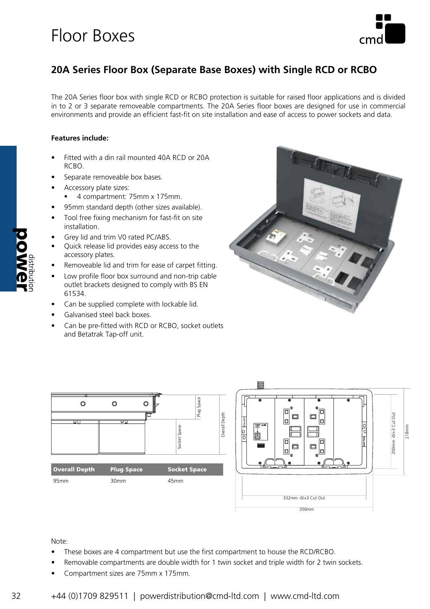

## **20A Series Floor Box (Separate Base Boxes) with Single RCD or RCBO**

The 20A Series floor box with single RCD or RCBO protection is suitable for raised floor applications and is divided in to 2 or 3 separate removeable compartments. The 20A Series floor boxes are designed for use in commercial environments and provide an efficient fast-fit on site installation and ease of access to power sockets and data.

### **Features include:**

- Fitted with a din rail mounted 40A RCD or 20A RCBO.
- Separate removeable box bases.
- Accessory plate sizes:
	- 4 compartment: 75mm x 175mm.
- 95mm standard depth (other sizes available).
- Tool free fixing mechanism for fast-fit on site installation.
- Grey lid and trim V0 rated PC/ABS.
- Quick release lid provides easy access to the accessory plates.
- Removeable lid and trim for ease of carpet fitting.
- Low profile floor box surround and non-trip cable outlet brackets designed to comply with BS EN 61534.
- Can be supplied complete with lockable lid.
- Galvanised steel back boxes.
- Can be pre-fitted with RCD or RCBO, socket outlets and Betatrak Tap-off unit.





#### Note:

- These boxes are 4 compartment but use the first compartment to house the RCD/RCBO.
- Removable compartments are double width for 1 twin socket and triple width for 2 twin sockets.
- Compartment sizes are 75mm x 175mm.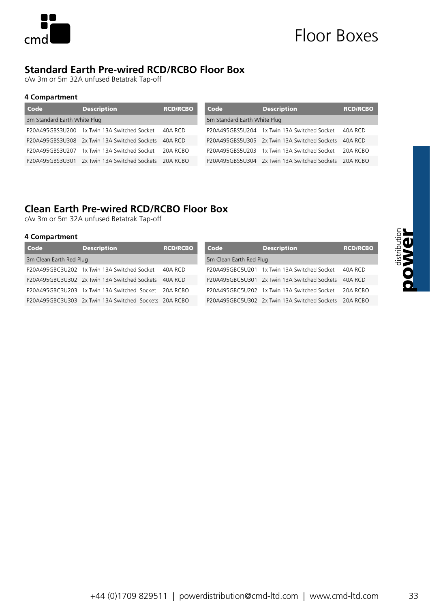

### **Standard Earth Pre-wired RCD/RCBO Floor Box**

c/w 3m or 5m 32A unfused Betatrak Tap-off

### **4 Compartment**

| Code                         | <b>Description</b>                                    | <b>RCD/RCBO</b> |  |
|------------------------------|-------------------------------------------------------|-----------------|--|
| 3m Standard Earth White Plug |                                                       |                 |  |
|                              | P20A495GBS3U200 1x Twin 13A Switched Socket           | 40A RCD         |  |
|                              | P20A495GBS3U308 2x Twin 13A Switched Sockets          | 40A RCD         |  |
|                              | P20A495GBS3U207 1x Twin 13A Switched Socket           | 20A RCBO        |  |
|                              | P20A495GBS3U301 2x Twin 13A Switched Sockets 20A RCBO |                 |  |

| Code                         | <b>Description</b>                                    | <b>RCD/RCBO</b> |  |  |
|------------------------------|-------------------------------------------------------|-----------------|--|--|
| 5m Standard Earth White Plug |                                                       |                 |  |  |
|                              | P20A495GBS5U204 1x Twin 13A Switched Socket 40A RCD   |                 |  |  |
|                              | P20A495GBS5U305 2x Twin 13A Switched Sockets 40A RCD  |                 |  |  |
|                              | P20A495GBS5U203 1x Twin 13A Switched Socket 20A RCBO  |                 |  |  |
|                              | P20A495GBS5U304 2x Twin 13A Switched Sockets 20A RCBO |                 |  |  |

### **Clean Earth Pre-wired RCD/RCBO Floor Box**

c/w 3m or 5m 32A unfused Betatrak Tap-off

### **4 Compartment**

| Code                    | <b>Description</b>                                    | <b>RCD/RCBO</b> | Code                    | <b>Description</b>                           | <b>RCD/RCBO</b> |
|-------------------------|-------------------------------------------------------|-----------------|-------------------------|----------------------------------------------|-----------------|
| 3m Clean Earth Red Plug |                                                       |                 | 5m Clean Earth Red Plug |                                              |                 |
|                         | P20A495GBC3U202 1x Twin 13A Switched Socket           | 40A RCD         |                         | P20A495GBC5U201 1x Twin 13A Switched Socket  | $40A$ RCD       |
|                         | P20A495GBC3U302 2x Twin 13A Switched Sockets          | $40A$ RCD       |                         | P20A495GBC5U301 2x Twin 13A Switched Sockets | $40A$ RCD       |
|                         | P20A495GBC3U203 1x Twin 13A Switched Socket 20A RCBO  |                 |                         | P20A495GBC5U202 1x Twin 13A Switched Socket  | 20A RCBO        |
|                         | P20A495GBC3U303 2x Twin 13A Switched Sockets 20A RCBO |                 |                         | P20A495GBC5U302 2x Twin 13A Switched Sockets | 20A RCBO        |

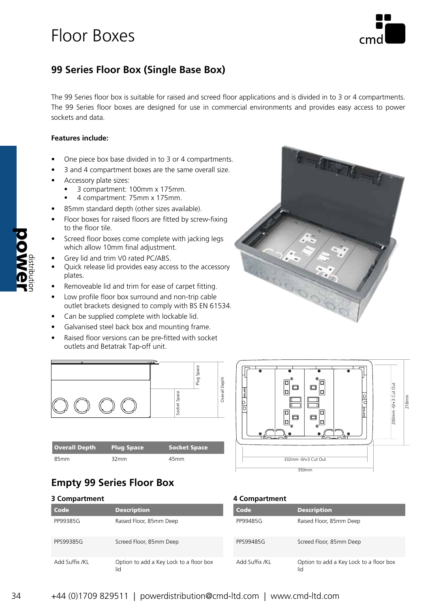

### **99 Series Floor Box (Single Base Box)**

The 99 Series floor box is suitable for raised and screed floor applications and is divided in to 3 or 4 compartments. The 99 Series floor boxes are designed for use in commercial environments and provides easy access to power sockets and data.

### **Features include:**

- One piece box base divided in to 3 or 4 compartments.
- 3 and 4 compartment boxes are the same overall size.
- Accessory plate sizes:
	- 3 compartment: 100mm x 175mm.
	- 4 compartment: 75mm x 175mm.
- 85mm standard depth (other sizes available).
- Floor boxes for raised floors are fitted by screw-fixing to the floor tile.
- Screed floor boxes come complete with jacking legs which allow 10mm final adjustment.
- Grey lid and trim V0 rated PC/ABS.
- Quick release lid provides easy access to the accessory plates.
- Removeable lid and trim for ease of carpet fitting.
- Low profile floor box surround and non-trip cable outlet brackets designed to comply with BS EN 61534.
- Can be supplied complete with lockable lid.
- Galvanised steel back box and mounting frame.
- Raised floor versions can be pre-fitted with socket outlets and Betatrak Tap-off unit.



| <b>Overall Depth</b> | <b>Plug Space</b> | <b>Socket Space</b> |
|----------------------|-------------------|---------------------|
| 85mm                 | 32mm              | 45 <sub>mm</sub>    |





### **Empty 99 Series Floor Box**

| 3 Compartment | 4 Compartment      |             |
|---------------|--------------------|-------------|
| <b>Code</b>   | <b>Description</b> | <b>Code</b> |

| Code           | <b>Description</b>                             |
|----------------|------------------------------------------------|
| PP99385G       | Raised Floor, 85mm Deep                        |
| PPS99385G      | Screed Floor, 85mm Deep                        |
| Add Suffix /KL | Option to add a Key Lock to a floor box<br>lid |

| 4 Compartmen |  |
|--------------|--|
|--------------|--|

| Code           | <b>Description</b>                             |
|----------------|------------------------------------------------|
| PP99485G       | Raised Floor, 85mm Deep                        |
| PPS99485G      | Screed Floor, 85mm Deep                        |
| Add Suffix /KL | Option to add a Key Lock to a floor box<br>lid |